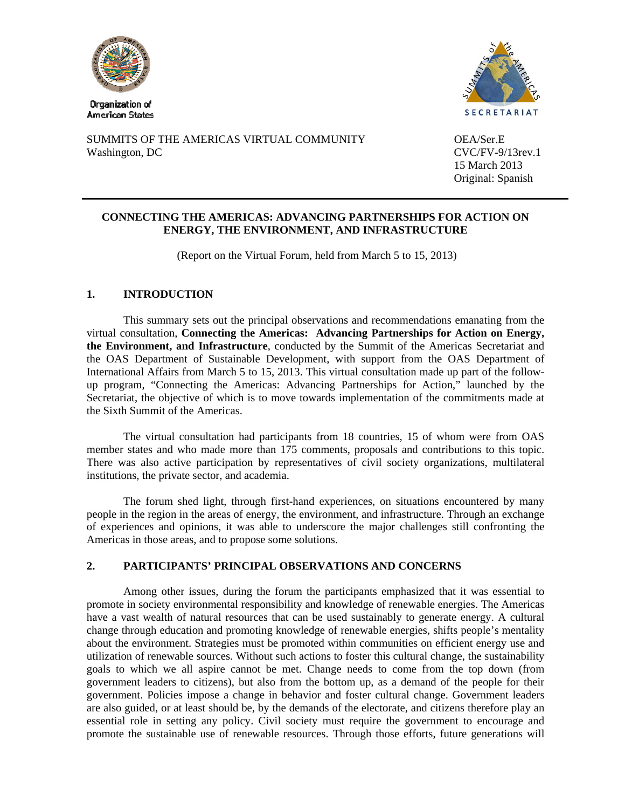

**American States** 



SUMMITS OF THE AMERICAS VIRTUAL COMMUNITY OEA/Ser.E Washington, DC CVC/FV-9/13rev.1

 15 March 2013 Original: Spanish

## **CONNECTING THE AMERICAS: ADVANCING PARTNERSHIPS FOR ACTION ON ENERGY, THE ENVIRONMENT, AND INFRASTRUCTURE**

(Report on the Virtual Forum, held from March 5 to 15, 2013)

## **1. INTRODUCTION**

This summary sets out the principal observations and recommendations emanating from the virtual consultation, **Connecting the Americas: Advancing Partnerships for Action on Energy, the Environment, and Infrastructure**, conducted by the Summit of the Americas Secretariat and the OAS Department of Sustainable Development, with support from the OAS Department of International Affairs from March 5 to 15, 2013. This virtual consultation made up part of the followup program, "Connecting the Americas: Advancing Partnerships for Action," launched by the Secretariat, the objective of which is to move towards implementation of the commitments made at the Sixth Summit of the Americas.

The virtual consultation had participants from 18 countries, 15 of whom were from OAS member states and who made more than 175 comments, proposals and contributions to this topic. There was also active participation by representatives of civil society organizations, multilateral institutions, the private sector, and academia.

The forum shed light, through first-hand experiences, on situations encountered by many people in the region in the areas of energy, the environment, and infrastructure. Through an exchange of experiences and opinions, it was able to underscore the major challenges still confronting the Americas in those areas, and to propose some solutions.

## **2. PARTICIPANTS' PRINCIPAL OBSERVATIONS AND CONCERNS**

Among other issues, during the forum the participants emphasized that it was essential to promote in society environmental responsibility and knowledge of renewable energies. The Americas have a vast wealth of natural resources that can be used sustainably to generate energy. A cultural change through education and promoting knowledge of renewable energies, shifts people's mentality about the environment. Strategies must be promoted within communities on efficient energy use and utilization of renewable sources. Without such actions to foster this cultural change, the sustainability goals to which we all aspire cannot be met. Change needs to come from the top down (from government leaders to citizens), but also from the bottom up, as a demand of the people for their government. Policies impose a change in behavior and foster cultural change. Government leaders are also guided, or at least should be, by the demands of the electorate, and citizens therefore play an essential role in setting any policy. Civil society must require the government to encourage and promote the sustainable use of renewable resources. Through those efforts, future generations will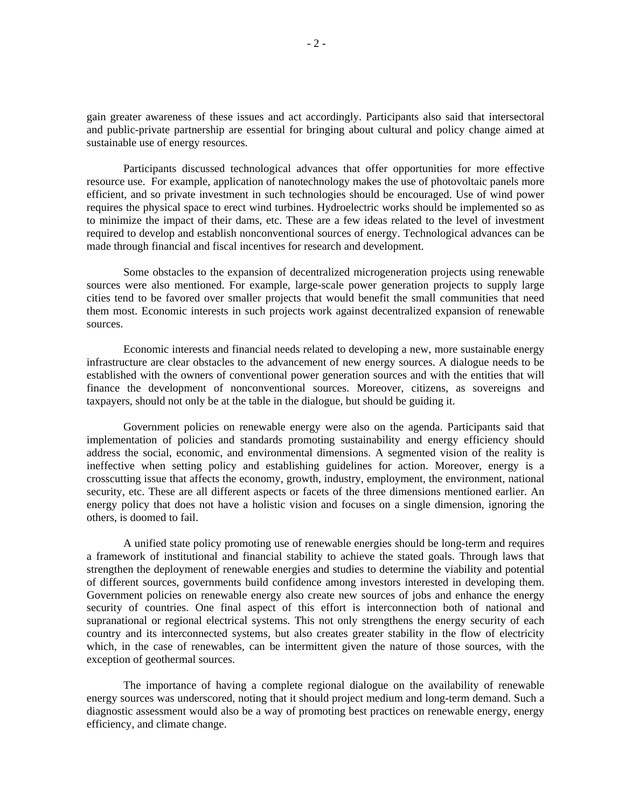gain greater awareness of these issues and act accordingly. Participants also said that intersectoral and public-private partnership are essential for bringing about cultural and policy change aimed at sustainable use of energy resources.

Participants discussed technological advances that offer opportunities for more effective resource use. For example, application of nanotechnology makes the use of photovoltaic panels more efficient, and so private investment in such technologies should be encouraged. Use of wind power requires the physical space to erect wind turbines. Hydroelectric works should be implemented so as to minimize the impact of their dams, etc. These are a few ideas related to the level of investment required to develop and establish nonconventional sources of energy. Technological advances can be made through financial and fiscal incentives for research and development.

Some obstacles to the expansion of decentralized microgeneration projects using renewable sources were also mentioned. For example, large-scale power generation projects to supply large cities tend to be favored over smaller projects that would benefit the small communities that need them most. Economic interests in such projects work against decentralized expansion of renewable sources.

Economic interests and financial needs related to developing a new, more sustainable energy infrastructure are clear obstacles to the advancement of new energy sources. A dialogue needs to be established with the owners of conventional power generation sources and with the entities that will finance the development of nonconventional sources. Moreover, citizens, as sovereigns and taxpayers, should not only be at the table in the dialogue, but should be guiding it.

Government policies on renewable energy were also on the agenda. Participants said that implementation of policies and standards promoting sustainability and energy efficiency should address the social, economic, and environmental dimensions. A segmented vision of the reality is ineffective when setting policy and establishing guidelines for action. Moreover, energy is a crosscutting issue that affects the economy, growth, industry, employment, the environment, national security, etc. These are all different aspects or facets of the three dimensions mentioned earlier. An energy policy that does not have a holistic vision and focuses on a single dimension, ignoring the others, is doomed to fail.

A unified state policy promoting use of renewable energies should be long-term and requires a framework of institutional and financial stability to achieve the stated goals. Through laws that strengthen the deployment of renewable energies and studies to determine the viability and potential of different sources, governments build confidence among investors interested in developing them. Government policies on renewable energy also create new sources of jobs and enhance the energy security of countries. One final aspect of this effort is interconnection both of national and supranational or regional electrical systems. This not only strengthens the energy security of each country and its interconnected systems, but also creates greater stability in the flow of electricity which, in the case of renewables, can be intermittent given the nature of those sources, with the exception of geothermal sources.

The importance of having a complete regional dialogue on the availability of renewable energy sources was underscored, noting that it should project medium and long-term demand. Such a diagnostic assessment would also be a way of promoting best practices on renewable energy, energy efficiency, and climate change.